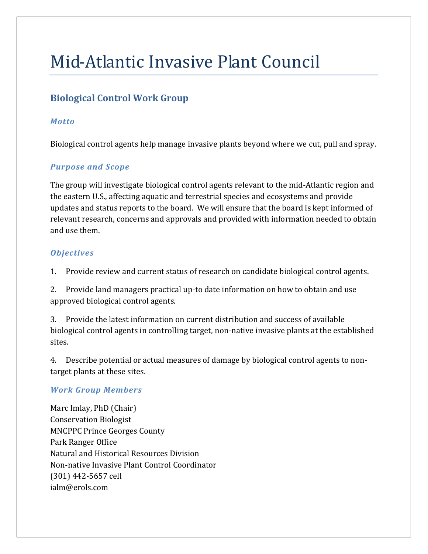# Mid-Atlantic Invasive Plant Council

## **Biological Control Work Group**

## *Motto*

Biological control agents help manage invasive plants beyond where we cut, pull and spray.

## *Purpose and Scope*

The group will investigate biological control agents relevant to the mid-Atlantic region and the eastern U.S., affecting aquatic and terrestrial species and ecosystems and provide updates and status reports to the board. We will ensure that the board is kept informed of relevant research, concerns and approvals and provided with information needed to obtain and use them.

## *Objectives*

1. Provide review and current status of research on candidate biological control agents.

2. Provide land managers practical up-to date information on how to obtain and use approved biological control agents.

3. Provide the latest information on current distribution and success of available biological control agents in controlling target, non-native invasive plants at the established sites.

4. Describe potential or actual measures of damage by biological control agents to nontarget plants at these sites.

## *Work Group Members*

Marc Imlay, PhD (Chair) Conservation Biologist MNCPPC Prince Georges County Park Ranger Office Natural and Historical Resources Division Non-native Invasive Plant Control Coordinator (301) 442-5657 cell ialm@erols.com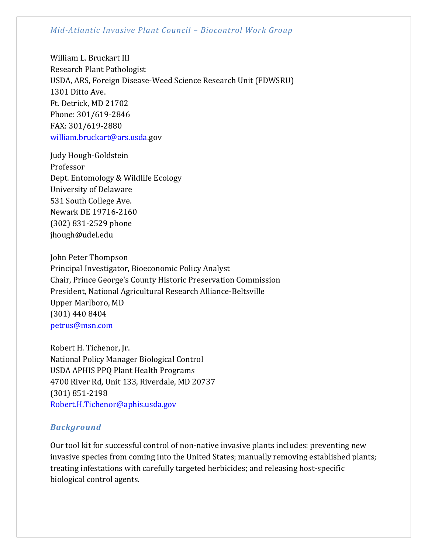William L. Bruckart III Research Plant Pathologist USDA, ARS, Foreign Disease-Weed Science Research Unit (FDWSRU) 1301 Ditto Ave. Ft. Detrick, MD 21702 Phone: 301/619-2846 FAX: 301/619-2880 [william.bruckart@ars.usda.](mailto:william.bruckart@ars.usda)gov

Judy Hough-Goldstein Professor Dept. Entomology & Wildlife Ecology University of Delaware 531 South College Ave. Newark DE 19716-2160 (302) 831-2529 phone jhough@udel.edu

John Peter Thompson Principal Investigator, Bioeconomic Policy Analyst Chair, Prince George's County Historic Preservation Commission President, National Agricultural Research Alliance-Beltsville Upper Marlboro, MD (301) 440 8404 [petrus@msn.com](mailto:petrus@msn.com)

Robert H. Tichenor, Jr. National Policy Manager Biological Control USDA APHIS PPQ Plant Health Programs 4700 River Rd, Unit 133, Riverdale, MD 20737 (301) 851-2198 [Robert.H.Tichenor@aphis.usda.gov](mailto:Robert.H.Tichenor@aphis.usda.gov)

#### *Background*

Our tool kit for successful control of non-native invasive plants includes: preventing new invasive species from coming into the United States; manually removing established plants; treating infestations with carefully targeted herbicides; and releasing host-specific biological control agents.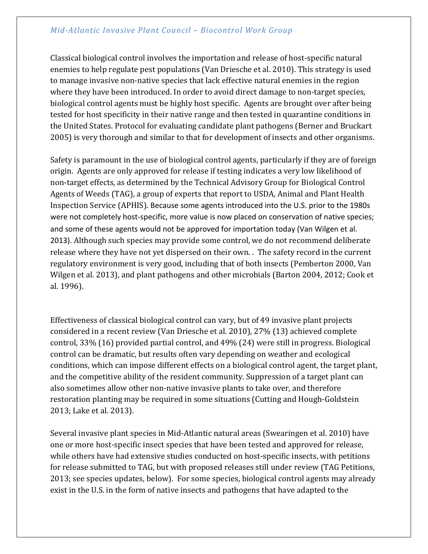Classical biological control involves the importation and release of host-specific natural enemies to help regulate pest populations (Van Driesche et al. 2010). This strategy is used to manage invasive non-native species that lack effective natural enemies in the region where they have been introduced. In order to avoid direct damage to non-target species, biological control agents must be highly host specific. Agents are brought over after being tested for host specificity in their native range and then tested in quarantine conditions in the United States. Protocol for evaluating candidate plant pathogens (Berner and Bruckart 2005) is very thorough and similar to that for development of insects and other organisms.

Safety is paramount in the use of biological control agents, particularly if they are of foreign origin. Agents are only approved for release if testing indicates a very low likelihood of non-target effects, as determined by the Technical Advisory Group for Biological Control Agents of Weeds (TAG), a group of experts that report to USDA, Animal and Plant Health Inspection Service (APHIS). Because some agents introduced into the U.S. prior to the 1980s were not completely host-specific, more value is now placed on conservation of native species; and some of these agents would not be approved for importation today (Van Wilgen et al. 2013). Although such species may provide some control, we do not recommend deliberate release where they have not yet dispersed on their own. . The safety record in the current regulatory environment is very good, including that of both insects (Pemberton 2000, Van Wilgen et al. 2013), and plant pathogens and other microbials (Barton 2004, 2012; Cook et al. 1996).

Effectiveness of classical biological control can vary, but of 49 invasive plant projects considered in a recent review (Van Driesche et al. 2010), 27% (13) achieved complete control, 33% (16) provided partial control, and 49% (24) were still in progress. Biological control can be dramatic, but results often vary depending on weather and ecological conditions, which can impose different effects on a biological control agent, the target plant, and the competitive ability of the resident community. Suppression of a target plant can also sometimes allow other non-native invasive plants to take over, and therefore restoration planting may be required in some situations (Cutting and Hough-Goldstein 2013; Lake et al. 2013).

Several invasive plant species in Mid-Atlantic natural areas (Swearingen et al. 2010) have one or more host-specific insect species that have been tested and approved for release, while others have had extensive studies conducted on host-specific insects, with petitions for release submitted to TAG, but with proposed releases still under review (TAG Petitions, 2013; see species updates, below). For some species, biological control agents may already exist in the U.S. in the form of native insects and pathogens that have adapted to the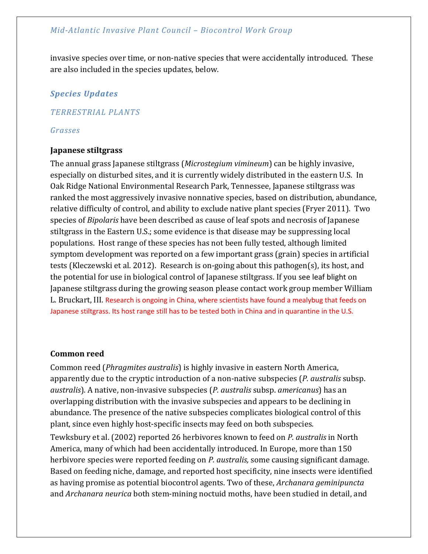invasive species over time, or non-native species that were accidentally introduced. These are also included in the species updates, below.

#### *Species Updates*

#### *TERRESTRIAL PLANTS*

#### *Grasses*

#### **Japanese stiltgrass**

The annual grass Japanese stiltgrass (*Microstegium vimineum*) can be highly invasive, especially on disturbed sites, and it is currently widely distributed in the eastern U.S. In Oak Ridge National Environmental Research Park, Tennessee, Japanese stiltgrass was ranked the most aggressively invasive nonnative species, based on distribution, abundance, relative difficulty of control, and ability to exclude native plant species (Fryer 2011). Two species of *Bipolaris* have been described as cause of leaf spots and necrosis of Japanese stiltgrass in the Eastern U.S.; some evidence is that disease may be suppressing local populations. Host range of these species has not been fully tested, although limited symptom development was reported on a few important grass (grain) species in artificial tests (Kleczewski et al. 2012). Research is on-going about this pathogen(s), its host, and the potential for use in biological control of Japanese stiltgrass. If you see leaf blight on Japanese stiltgrass during the growing season please contact work group member William L. Bruckart, III. Research is ongoing in China, where scientists have found a mealybug that feeds on Japanese stiltgrass. Its host range still has to be tested both in China and in quarantine in the U.S.

#### **Common reed**

Common reed (*Phragmites australis*) is highly invasive in eastern North America, apparently due to the cryptic introduction of a non-native subspecies (*P. australis* subsp. *australis*). A native, non-invasive subspecies (*P. australis* subsp. *americanus*) has an overlapping distribution with the invasive subspecies and appears to be declining in abundance. The presence of the native subspecies complicates biological control of this plant, since even highly host-specific insects may feed on both subspecies.

Tewksbury et al. (2002) reported 26 herbivores known to feed on *P. australis* in North America, many of which had been accidentally introduced. In Europe, more than 150 herbivore species were reported feeding on *P. australis,* some causing significant damage. Based on feeding niche, damage, and reported host specificity, nine insects were identified as having promise as potential biocontrol agents. Two of these, *Archanara geminipuncta* and *Archanara neurica* both stem-mining noctuid moths, have been studied in detail, and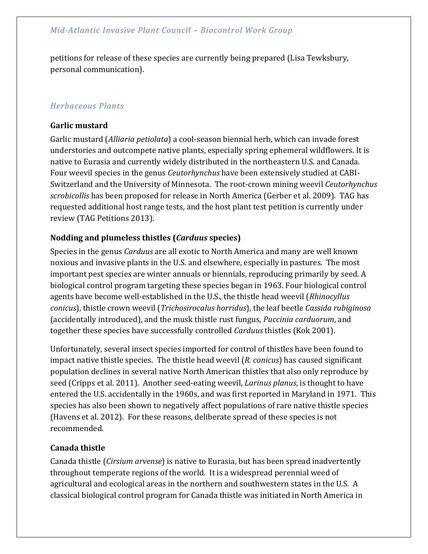petitions for release of these species are currently being prepared (Lisa Tewksbury, personal communication).

## *Herbaceous Plants*

#### **Garlic mustard**

Garlic mustard (*Alliaria petiolata*) a cool-season biennial herb, which can invade forest understories and outcompete native plants, especially spring ephemeral wildflowers. It is native to Eurasia and currently widely distributed in the northeastern U.S. and Canada. Four weevil species in the genus *Ceutorhynchus* have been extensively studied at CABI-Switzerland and the University of Minnesota. The root-crown mining weevil *Ceutorhynchus scrobicollis* has been proposed for release in North America (Gerber et al. 2009). TAG has requested additional host range tests, and the host plant test petition is currently under review (TAG Petitions 2013).

## **Nodding and plumeless thistles (***Carduus* **species)**

Species in the genus *Carduus* are all exotic to North America and many are well known noxious and [invasive plants](http://en.wikipedia.org/wiki/Invasive_species) in the U.S. and elsewhere, especially in pastures. The most important pest species are winter annuals or biennials, reproducing primarily by seed. A biological control program targeting these species began in 1963. Four biological control agents have become well-established in the U.S., the [thistle head weevil](http://en.wikipedia.org/wiki/Rhinocyllus_conicus) (*Rhinocyllus conicus*), [thistle crown weevil](http://en.wikipedia.org/wiki/Trichosirocalus_horridus) (*Trichosirocalus horridus*), the leaf beetle *Cassida rubiginosa* (accidentally introduced), and the [musk thistle rust](http://en.wikipedia.org/w/index.php?title=Puccinia_carduorum&action=edit&redlink=1) fungus, *Puccinia carduorum*, and together these species have successfully controlled *Carduus* thistles (Kok 2001).

Unfortunately, several insect species imported for control of thistles have been found to impact native thistle species. The thistle head weevil (*R. conicus*) has caused significant population declines in several native North American thistles that also only reproduce by seed (Cripps et al. 2011). Another seed-eating weevil, *Larinus planus*, is thought to have entered the U.S. accidentally in the 1960s, and was first reported in Maryland in 1971. This species has also been shown to negatively affect populations of rare native thistle species (Havens et al. 2012). For these reasons, deliberate spread of these species is not recommended.

## **Canada thistle**

Canada thistle (*Cirsium arvense*) is native to Eurasia, but has been spread inadvertently throughout temperate regions of the world. It is a widespread perennial weed of agricultural and ecological areas in the northern and southwestern states in the U.S. A classical biological control program for Canada thistle was initiated in North America in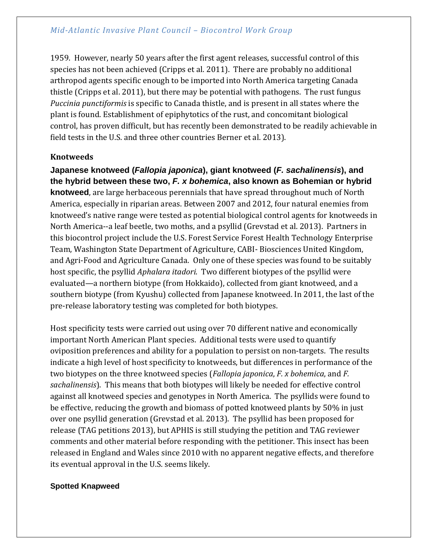1959. However, nearly 50 years after the first agent releases, successful control of this species has not been achieved (Cripps et al. 2011). There are probably no additional arthropod agents specific enough to be imported into North America targeting Canada thistle (Cripps et al. 2011), but there may be potential with pathogens. The rust fungus *Puccinia punctiformis* is specific to Canada thistle, and is present in all states where the plant is found. Establishment of epiphytotics of the rust, and concomitant biological control, has proven difficult, but has recently been demonstrated to be readily achievable in field tests in the U.S. and three other countries Berner et al. 2013).

## **Knotweeds**

**Japanese knotweed (***Fallopia japonica***), giant knotweed (***F. sachalinensis***), and the hybrid between these two,** *F. x bohemica***, also known as Bohemian or hybrid knotweed**, are large herbaceous perennials that have spread throughout much of North America, especially in riparian areas. Between 2007 and 2012, four natural enemies from knotweed's native range were tested as potential biological control agents for knotweeds in North America--a leaf beetle, two moths, and a psyllid (Grevstad et al. 2013). Partners in this biocontrol project include the U.S. Forest Service Forest Health Technology Enterprise Team, Washington State Department of Agriculture, CABI- Biosciences United Kingdom, and Agri-Food and Agriculture Canada. Only one of these species was found to be suitably host specific, the psyllid *Aphalara itadori*. Two different biotypes of the psyllid were evaluated—a northern biotype (from Hokkaido), collected from giant knotweed, and a southern biotype (from Kyushu) collected from Japanese knotweed. In 2011, the last of the pre-release laboratory testing was completed for both biotypes.

Host specificity tests were carried out using over 70 different native and economically important North American Plant species. Additional tests were used to quantify oviposition preferences and ability for a population to persist on non-targets. The results indicate a high level of host specificity to knotweeds, but differences in performance of the two biotypes on the three knotweed species (*Fallopia japonica*, *F. x bohemica*, and *F. sachalinensis*). This means that both biotypes will likely be needed for effective control against all knotweed species and genotypes in North America. The psyllids were found to be effective, reducing the growth and biomass of potted knotweed plants by 50% in just over one psyllid generation (Grevstad et al. 2013). The psyllid has been proposed for release (TAG petitions 2013), but APHIS is still studying the petition and TAG reviewer comments and other material before responding with the petitioner. This insect has been released in England and Wales since 2010 with no apparent negative effects, and therefore its eventual approval in the U.S. seems likely.

#### **Spotted Knapweed**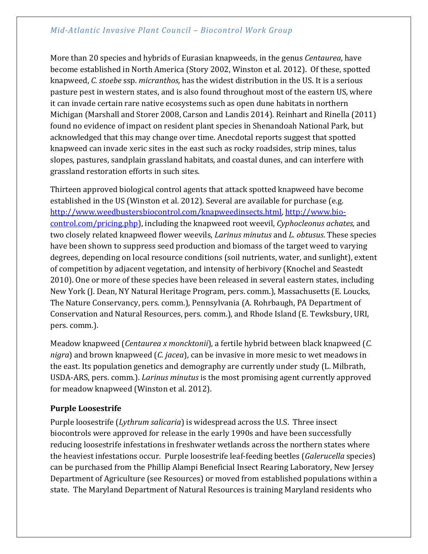More than 20 species and hybrids of Eurasian knapweeds, in the genus *Centaurea*, have become established in North America (Story 2002, Winston et al. 2012). Of these, spotted knapweed, *C. stoebe* ssp. *micranthos*, has the widest distribution in the US. It is a serious pasture pest in western states, and is also found throughout most of the eastern US, where it can invade certain rare native ecosystems such as open dune habitats in northern Michigan (Marshall and Storer 2008, Carson and Landis 2014). Reinhart and Rinella (2011) found no evidence of impact on resident plant species in Shenandoah National Park, but acknowledged that this may change over time. Anecdotal reports suggest that spotted knapweed can invade xeric sites in the east such as rocky roadsides, strip mines, talus slopes, pastures, sandplain grassland habitats, and coastal dunes, and can interfere with grassland restoration efforts in such sites.

Thirteen approved biological control agents that attack spotted knapweed have become established in the US (Winston et al. 2012). Several are available for purchase (e.g. [http://www.weedbustersbiocontrol.com/knapweedinsects.html,](http://www.weedbustersbiocontrol.com/knapweedinsects.html) [http://www.bio](http://www.bio-control.com/pricing.php)[control.com/pricing.php\)](http://www.bio-control.com/pricing.php), including the knapweed root weevil, *Cyphocleonus achates,* and two closely related knapweed flower weevils, *Larinus minutus* and *L. obtusus*. These species have been shown to suppress seed production and biomass of the target weed to varying degrees, depending on local resource conditions (soil nutrients, water, and sunlight), extent of competition by adjacent vegetation, and intensity of herbivory (Knochel and Seastedt 2010). One or more of these species have been released in several eastern states, including New York (J. Dean, NY Natural Heritage Program, pers. comm.), Massachusetts (E. Loucks, The Nature Conservancy, pers. comm.), Pennsylvania (A. Rohrbaugh, PA Department of Conservation and Natural Resources, pers. comm.), and Rhode Island (E. Tewksbury, URI, pers. comm.).

Meadow knapweed (*Centaurea x moncktonii*), a fertile hybrid between black knapweed (*C. nigra*) and brown knapweed (*C. jacea*), can be invasive in more mesic to wet meadows in the east. Its population genetics and demography are currently under study (L. Milbrath, USDA-ARS, pers. comm.). *Larinus minutus* is the most promising agent currently approved for meadow knapweed (Winston et al. 2012).

## **Purple Loosestrife**

Purple loosestrife (*Lythrum salicaria*) is widespread across the U.S. Three insect biocontrols were approved for release in the early 1990s and have been successfully reducing loosestrife infestations in freshwater wetlands across the northern states where the heaviest infestations occur. Purple loosestrife leaf-feeding beetles (*Galerucella* species) can be purchased from the Phillip Alampi Beneficial Insect Rearing Laboratory, New Jersey Department of Agriculture (see Resources) or moved from established populations within a state. The Maryland Department of Natural Resources is training Maryland residents who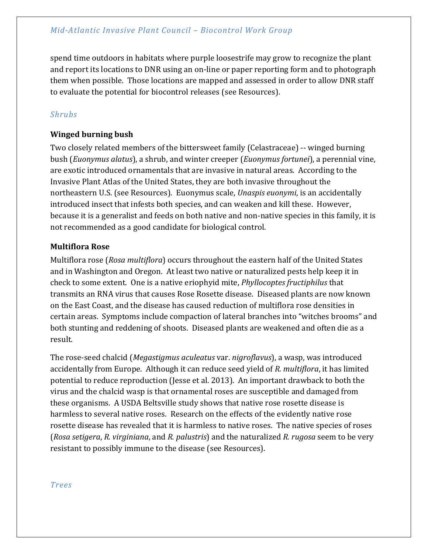spend time outdoors in habitats where purple loosestrife may grow to recognize the plant and report its locations to DNR using an on-line or paper reporting form and to photograph them when possible. Those locations are mapped and assessed in order to allow DNR staff to evaluate the potential for biocontrol releases (see Resources).

## *Shrubs*

## **Winged burning bush**

Two closely related members of the bittersweet family (Celastraceae) -- winged burning bush (*Euonymus alatus*), a shrub, and winter creeper (*Euonymus fortunei*), a perennial vine, are exotic introduced ornamentals that are invasive in natural areas. According to the Invasive Plant Atlas of the United States, they are both invasive throughout the northeastern U.S. (see Resources). Euonymus scale, *Unaspis euonymi*, is an accidentally introduced insect that infests both species, and can weaken and kill these. However, because it is a generalist and feeds on both native and non-native species in this family, it is not recommended as a good candidate for biological control.

## **Multiflora Rose**

Multiflora rose (*Rosa multiflora*) occurs throughout the eastern half of the United States and in Washington and Oregon. At least two native or naturalized pests help keep it in check to some extent. One is a native eriophyid mite, *Phyllocoptes fructiphilus* that transmits an RNA virus that causes Rose Rosette disease. Diseased plants are now known on the East Coast, and the disease has caused reduction of multiflora rose densities in certain areas. Symptoms include compaction of lateral branches into "witches brooms" and both stunting and reddening of shoots. Diseased plants are weakened and often die as a result.

The rose-seed chalcid (*Megastigmus aculeatus* var. *nigroflavus*), a wasp, was introduced accidentally from Europe. Although it can reduce seed yield of *R. multiflora*, it has limited potential to reduce reproduction (Jesse et al. 2013). An important drawback to both the virus and the chalcid wasp is that ornamental roses are susceptible and damaged from these organisms. A USDA Beltsville study shows that native rose rosette disease is harmless to several native roses. Research on the effects of the evidently native rose rosette disease has revealed that it is harmless to native roses. The native species of roses (*Rosa setigera*, *R. virginiana*, and *R. palustris*) and the naturalized *R. rugosa* seem to be very resistant to possibly immune to the disease (see Resources).

*Trees*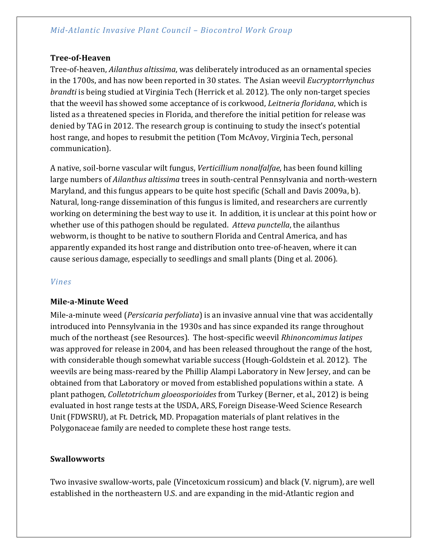#### **Tree-of-Heaven**

Tree-of-heaven, *Ailanthus altissima*, was deliberately introduced as an ornamental species in the 1700s, and has now been reported in 30 states. The Asian weevil *Eucryptorrhynchus brandti* is being studied at Virginia Tech (Herrick et al. 2012). The only non-target species that the weevil has showed some acceptance of is corkwood, *Leitneria floridana*, which is listed as a threatened species in Florida, and therefore the initial petition for release was denied by TAG in 2012. The research group is continuing to study the insect's potential host range, and hopes to resubmit the petition (Tom McAvoy, Virginia Tech, personal communication).

A native, soil-borne vascular wilt fungus, *Verticillium nonalfalfae*, has been found killing large numbers of *Ailanthus altissima* trees in south-central Pennsylvania and north-western Maryland, and this fungus appears to be quite host specific (Schall and Davis 2009a, b). Natural, long-range dissemination of this fungus is limited, and researchers are currently working on determining the best way to use it. In addition, it is unclear at this point how or whether use of this pathogen should be regulated. *Atteva punctella*, the ailanthus webworm, is thought to be native to southern Florida and Central America, and has apparently expanded its host range and distribution onto tree-of-heaven, where it can cause serious damage, especially to seedlings and small plants (Ding et al. 2006).

#### *Vines*

#### **Mile-a-Minute Weed**

Mile-a-minute weed (*Persicaria perfoliata*) is an invasive annual vine that was accidentally introduced into Pennsylvania in the 1930s and has since expanded its range throughout much of the northeast (see Resources). The host-specific weevil *Rhinoncomimus latipes* was approved for release in 2004, and has been released throughout the range of the host, with considerable though somewhat variable success (Hough-Goldstein et al. 2012). The weevils are being mass-reared by the Phillip Alampi Laboratory in New Jersey, and can be obtained from that Laboratory or moved from established populations within a state. A plant pathogen, *Colletotrichum gloeosporioides* from Turkey (Berner, et al., 2012) is being evaluated in host range tests at the USDA, ARS, Foreign Disease-Weed Science Research Unit (FDWSRU), at Ft. Detrick, MD. Propagation materials of plant relatives in the Polygonaceae family are needed to complete these host range tests.

#### **Swallowworts**

Two invasive swallow-worts, pale (Vincetoxicum rossicum) and black (V. nigrum), are well established in the northeastern U.S. and are expanding in the mid-Atlantic region and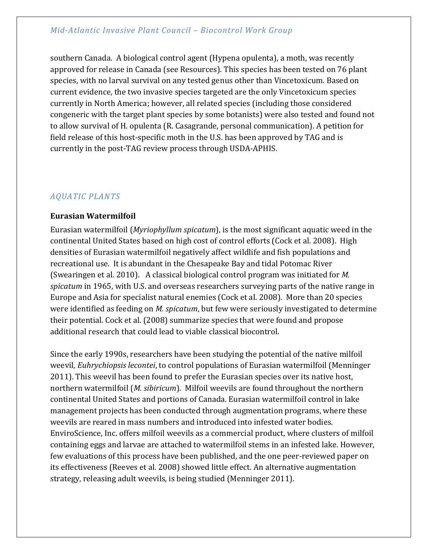southern Canada. A biological control agent (Hypena opulenta), a moth, was recently approved for release in Canada (see Resources). This species has been tested on 76 plant species, with no larval survival on any tested genus other than Vincetoxicum. Based on current evidence, the two invasive species targeted are the only Vincetoxicum species currently in North America; however, all related species (including those considered congeneric with the target plant species by some botanists) were also tested and found not to allow survival of H. opulenta (R. Casagrande, personal communication). A petition for field release of this host-specific moth in the U.S. has been approved by TAG and is currently in the post-TAG review process through USDA-APHIS.

## *AQUATIC PLANTS*

#### **Eurasian Watermilfoil**

Eurasian watermilfoil (*Myriophyllum spicatum*), is the most significant aquatic weed in the continental United States based on high cost of control efforts (Cock et al. 2008). High densities of Eurasian watermilfoil negatively affect wildlife and fish populations and recreational use. It is abundant in the Chesapeake Bay and tidal Potomac River (Swearingen et al. 2010). A classical biological control program was initiated for *M. spicatum* in 1965, with U.S. and overseas researchers surveying parts of the native range in Europe and Asia for specialist natural enemies (Cock et al. 2008). More than 20 species were identified as feeding on *M. spicatum*, but few were seriously investigated to determine their potential. Cock et al. (2008) summarize species that were found and propose additional research that could lead to viable classical biocontrol.

Since the early 1990s, researchers have been studying the potential of the native milfoil weevil, *Euhrychiopsis lecontei*, to control populations of Eurasian watermilfoil (Menninger 2011). This weevil has been found to prefer the Eurasian species over its native host, northern watermilfoil (*M. sibiricum*). Milfoil weevils are found throughout the northern continental United States and portions of Canada. Eurasian watermilfoil control in lake management projects has been conducted through augmentation programs, where these weevils are reared in mass numbers and introduced into infested water bodies. EnviroScience, Inc. offers milfoil weevils as a commercial product, where clusters of milfoil containing eggs and larvae are attached to watermilfoil stems in an infested lake. However, few evaluations of this process have been published, and the one peer-reviewed paper on its effectiveness (Reeves et al. 2008) showed little effect. An alternative augmentation strategy, releasing adult weevils, is being studied (Menninger 2011).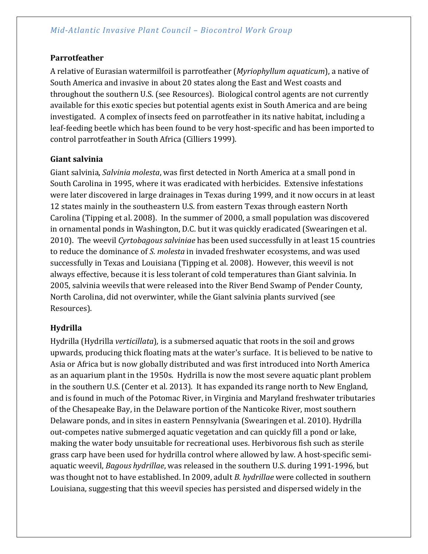#### **Parrotfeather**

A relative of Eurasian watermilfoil is parrotfeather (*Myriophyllum aquaticum*), a native of South America and invasive in about 20 states along the East and West coasts and throughout the southern U.S. (see Resources). Biological control agents are not currently available for this exotic species but potential agents exist in South America and are being investigated. A complex of insects feed on parrotfeather in its native habitat, including a leaf-feeding beetle which has been found to be very host-specific and has been imported to control parrotfeather in South Africa (Cilliers 1999).

#### **Giant salvinia**

Giant salvinia, *Salvinia molesta*, was first detected in North America at a small pond in South Carolina in 1995, where it was eradicated with herbicides. Extensive infestations were later discovered in large drainages in Texas during 1999, and it now occurs in at least 12 states mainly in the southeastern U.S. from eastern Texas through eastern North Carolina (Tipping et al. 2008). In the summer of 2000, a small population was discovered in ornamental ponds in Washington, D.C. but it was quickly eradicated (Swearingen et al. 2010). The weevil *Cyrtobagous salviniae* has been used successfully in at least 15 countries to reduce the dominance of *S. molesta* in invaded freshwater ecosystems, and was used successfully in Texas and Louisiana (Tipping et al. 2008). However, this weevil is not always effective, because it is less tolerant of cold temperatures than Giant salvinia. In 2005, salvinia weevils that were released into the River Bend Swamp of Pender County, North Carolina, did not overwinter, while the Giant salvinia plants survived (see Resources).

## **Hydrilla**

Hydrilla (Hydrilla *verticillata*)*,* is a submersed aquatic that roots in the soil and grows upwards, producing thick floating mats at the water's surface. It is believed to be native to Asia or Africa but is now globally distributed and was first introduced into North America as an aquarium plant in the 1950s. Hydrilla is now the most severe aquatic plant problem in the southern U.S. (Center et al. 2013). It has expanded its range north to New England, and is found in much of the Potomac River, in Virginia and Maryland freshwater tributaries of the Chesapeake Bay, in the Delaware portion of the Nanticoke River, most southern Delaware ponds, and in sites in eastern Pennsylvania (Swearingen et al. 2010). Hydrilla out-competes native submerged aquatic vegetation and can quickly fill a pond or lake, making the water body unsuitable for recreational uses. Herbivorous fish such as sterile grass carp have been used for hydrilla control where allowed by law. A host-specific semiaquatic weevil, *Bagous hydrillae*, was released in the southern U.S. during 1991-1996, but was thought not to have established. In 2009, adult *B. hydrillae* were collected in southern Louisiana, suggesting that this weevil species has persisted and dispersed widely in the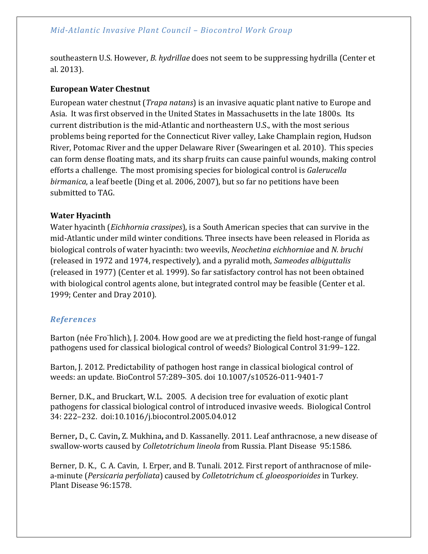southeastern U.S. However, *B. hydrillae* does not seem to be suppressing hydrilla (Center et al. 2013).

## **European Water Chestnut**

European water chestnut (*Trapa natans*) is an invasive aquatic plant native to Europe and Asia. It was first observed in the United States in Massachusetts in the late 1800s. Its current distribution is the mid-Atlantic and northeastern U.S., with the most serious problems being reported for the Connecticut River valley, Lake Champlain region, Hudson River, Potomac River and the upper Delaware River (Swearingen et al. 2010). This species can form dense floating mats, and its sharp fruits can cause painful wounds, making control efforts a challenge. The most promising species for biological control is *Galerucella birmanica*, a leaf beetle (Ding et al. 2006, 2007), but so far no petitions have been submitted to TAG.

## **Water Hyacinth**

Water hyacinth (*Eichhornia crassipes*), is a South American species that can survive in the mid-Atlantic under mild winter conditions. Three insects have been released in Florida as biological controls of water hyacinth: two weevils, *Neochetina eichhorniae* and *N. bruchi*  (released in 1972 and 1974, respectively), and a pyralid moth, *Sameodes albiguttalis*  (released in 1977) (Center et al. 1999). So far satisfactory control has not been obtained with biological control agents alone, but integrated control may be feasible (Center et al. 1999; Center and Dray 2010).

## *References*

Barton (née Fro¨hlich), J. 2004. How good are we at predicting the field host-range of fungal pathogens used for classical biological control of weeds? Biological Control 31:99–122.

Barton, J. 2012. Predictability of pathogen host range in classical biological control of weeds: an update. BioControl 57:289–305. doi 10.1007/s10526-011-9401-7

Berner, D.K., and Bruckart, W.L. 2005. A decision tree for evaluation of exotic plant pathogens for classical biological control of introduced invasive weeds. Biological Control 34: 222–232. doi:10.1016/j.biocontrol.2005.04.012

Berner**,** D., C. Cavin**,** Z. Mukhina**,** and D. Kassanelly. 2011. Leaf anthracnose, a new disease of swallow-worts caused by *Colletotrichum lineola* from Russia. Plant Disease 95:1586.

Berner, D. K., C. A. Cavin, I. Erper, and B. Tunali. 2012. First report of anthracnose of milea-minute (*Persicaria perfoliata*) caused by *Colletotrichum* cf. *gloeosporioides* in Turkey. Plant Disease 96:1578.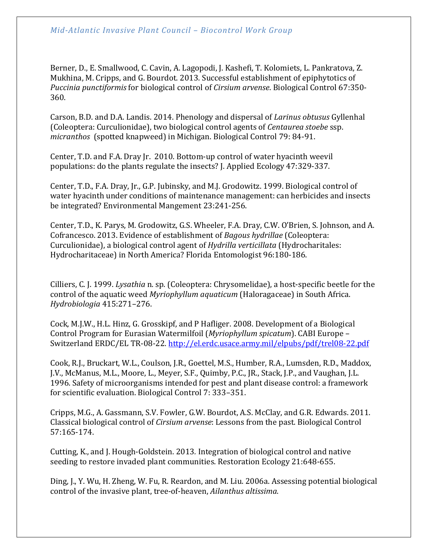Berner, D., E. Smallwood, C. Cavin, A. Lagopodi, J. Kashefi, T. Kolomiets, L. Pankratova, Z. Mukhina, M. Cripps, and G. Bourdot. 2013. Successful establishment of epiphytotics of *Puccinia punctiformis* for biological control of *Cirsium arvense*. Biological Control 67:350- 360.

Carson, B.D. and D.A. Landis. 2014. Phenology and dispersal of *Larinus obtusus* Gyllenhal (Coleoptera: Curculionidae), two biological control agents of *Centaurea stoebe* ssp. *micranthos* (spotted knapweed) in Michigan. Biological Control 79: 84-91.

Center, T.D. and F.A. Dray Jr. 2010. Bottom-up control of water hyacinth weevil populations: do the plants regulate the insects? J. Applied Ecology 47:329-337.

Center, T.D., F.A. Dray, Jr., G.P. Jubinsky, and M.J. Grodowitz. 1999. Biological control of water hyacinth under conditions of maintenance management: can herbicides and insects be integrated? Environmental Mangement 23:241-256.

Center, T.D., K. Parys, M. Grodowitz, G.S. Wheeler, F.A. Dray, C.W. O'Brien, S. Johnson, and A. Cofrancesco. 2013. Evidence of establishment of *Bagous hydrillae* (Coleoptera: Curculionidae), a biological control agent of *Hydrilla verticillata* (Hydrocharitales: Hydrocharitaceae) in North America? Florida Entomologist 96:180-186.

Cilliers, C. J. 1999. *Lysathia* n. sp. (Coleoptera: Chrysomelidae), a host-specific beetle for the control of the aquatic weed *Myriophyllum aquaticum* (Haloragaceae) in South Africa. *Hydrobiologia* 415:271–276.

Cock, M.J.W., H.L. Hinz, G. Grosskipf, and P Hafliger. 2008. Development of a Biological Control Program for Eurasian Watermilfoil (*Myriophyllum spicatum*). CABI Europe – Switzerland ERDC/EL TR-08-22.<http://el.erdc.usace.army.mil/elpubs/pdf/trel08-22.pdf>

Cook, R.J., Bruckart, W.L., Coulson, J.R., Goettel, M.S., Humber, R.A., Lumsden, R.D., Maddox, J.V., McManus, M.L., Moore, L., Meyer, S.F., Quimby, P.C., JR., Stack, J.P., and Vaughan, J.L. 1996. Safety of microorganisms intended for pest and plant disease control: a framework for scientific evaluation. Biological Control 7: 333–351.

Cripps, M.G., A. Gassmann, S.V. Fowler, G.W. Bourdot, A.S. McClay, and G.R. Edwards. 2011. Classical biological control of *Cirsium arvense*: Lessons from the past. Biological Control 57:165-174.

Cutting, K., and J. Hough-Goldstein. 2013*.* Integration of biological control and native seeding to restore invaded plant communities. Restoration Ecology 21:648-655.

Ding, J., Y. Wu, H. Zheng, W. Fu, R. Reardon, and M. Liu. 2006a. Assessing potential biological control of the invasive plant, tree-of-heaven, *Ailanthus altissima*.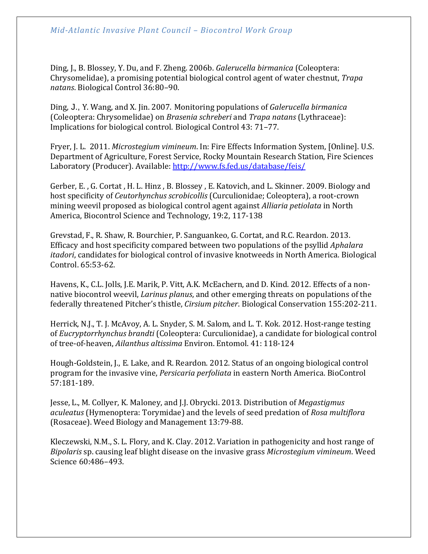Ding, J., B. Blossey, Y. Du, and F. Zheng. 2006b. *Galerucella birmanica* (Coleoptera: Chrysomelidae), a promising potential biological control agent of water chestnut, *Trapa natans*. Biological Control 36:80–90.

Ding, J., Y. Wang, and X. Jin. 2007. Monitoring populations of *Galerucella birmanica*  (Coleoptera: Chrysomelidae) on *Brasenia schreberi* and *Trapa natans* (Lythraceae): Implications for biological control. Biological Control 43: 71–77.

Fryer, J. L. 2011. *Microstegium vimineum*. In: Fire Effects Information System, [Online]. U.S. Department of Agriculture, Forest Service, Rocky Mountain Research Station, Fire Sciences Laboratory (Producer). Available:<http://www.fs.fed.us/database/feis/>

Gerber, E. , G. Cortat , H. L. Hinz , B. Blossey , E. Katovich, and L. Skinner. 2009. Biology and host specificity of *Ceutorhynchus scrobicollis* (Curculionidae; Coleoptera), a root-crown mining weevil proposed as biological control agent against *Alliaria petiolata* in North America, Biocontrol Science and Technology, 19:2, 117-138

Grevstad, F., R. Shaw, R. Bourchier, P. Sanguankeo, G. Cortat, and R.C. Reardon. 2013. Efficacy and host specificity compared between two populations of the psyllid *Aphalara itadori*, candidates for biological control of invasive knotweeds in North America. Biological Control. 65:53-62.

Havens, K., C.L. Jolls, J.E. Marik, P. Vitt, A.K. McEachern, and D. Kind. 2012. Effects of a nonnative biocontrol weevil, *Larinus planus*, and other emerging threats on populations of the federally threatened Pitcher's thistle, *Cirsium pitcher*. Biological Conservation 155:202-211.

Herrick, N.J., T. J. McAvoy, A. L. Snyder, S. M. Salom, and L. T. Kok. 2012. Host-range testing of *Eucryptorrhynchus brandti* (Coleoptera: Curculionidae), a candidate for biological control of tree-of-heaven, *Ailanthus altissima* Environ. Entomol. 41: 118-124

Hough-Goldstein, J., E. Lake, and R. Reardon. 2012. Status of an ongoing biological control program for the invasive vine, *Persicaria perfoliata* in eastern North America. BioControl 57:181-189.

Jesse, L., M. Collyer, K. Maloney, and J.J. Obrycki. 2013. Distribution of *Megastigmus aculeatus* (Hymenoptera: Torymidae) and the levels of seed predation of *Rosa multiflora*  (Rosaceae). Weed Biology and Management 13:79-88.

Kleczewski, N.M., S. L. Flory, and K. Clay. 2012. Variation in pathogenicity and host range of *Bipolaris* sp. causing leaf blight disease on the invasive grass *Microstegium vimineum*. Weed Science 60:486–493.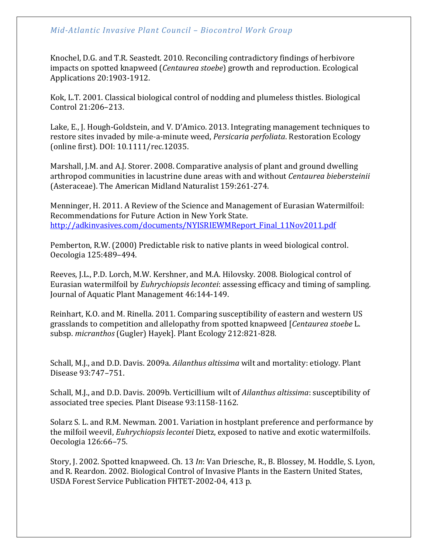Knochel, D.G. and T.R. Seastedt. 2010. Reconciling contradictory findings of herbivore impacts on spotted knapweed (*Centaurea stoebe*) growth and reproduction. Ecological Applications 20:1903-1912.

Kok, L.T. 2001. Classical biological control of nodding and plumeless thistles. Biological Control 21:206–213.

Lake, E., J. Hough-Goldstein, and V. D'Amico. 2013. Integrating management techniques to restore sites invaded by mile-a-minute weed, *Persicaria perfoliata*. Restoration Ecology (online first). DOI: 10.1111/rec.12035.

Marshall, J.M. and A.J. Storer. 2008. Comparative analysis of plant and ground dwelling arthropod communities in lacustrine dune areas with and without *Centaurea biebersteinii*  (Asteraceae). The American Midland Naturalist 159:261-274.

Menninger, H. 2011. A Review of the Science and Management of Eurasian Watermilfoil: Recommendations for Future Action in New York State. [http://adkinvasives.com/documents/NYISRIEWMReport\\_Final\\_11Nov2011.pdf](http://adkinvasives.com/documents/NYISRIEWMReport_Final_11Nov2011.pdf)

Pemberton, R.W. (2000) Predictable risk to native plants in weed biological control. Oecologia 125:489–494.

Reeves, J.L., P.D. Lorch, M.W. Kershner, and M.A. Hilovsky. 2008. Biological control of Eurasian watermilfoil by *Euhrychiopsis lecontei*: assessing efficacy and timing of sampling. Journal of Aquatic Plant Management 46:144-149.

Reinhart, K.O. and M. Rinella. 2011. Comparing susceptibility of eastern and western US grasslands to competition and allelopathy from spotted knapweed [*Centaurea stoebe* L. subsp. *micranthos* (Gugler) Hayek]. Plant Ecology 212:821-828.

Schall, M.J., and D.D. Davis. 2009a. *Ailanthus altissima* wilt and mortality: etiology. Plant Disease 93:747–751.

Schall, M.J., and D.D. Davis. 2009b. Verticillium wilt of *Ailanthus altissima*: susceptibility of associated tree species. Plant Disease 93:1158-1162.

Solarz S. L. and R.M. Newman. 2001. Variation in hostplant preference and performance by the milfoil weevil, *Euhrychiopsis lecontei* Dietz, exposed to native and exotic watermilfoils. Oecologia 126:66–75.

Story, J. 2002. Spotted knapweed. Ch. 13 *In*: Van Driesche, R., B. Blossey, M. Hoddle, S. Lyon, and R. Reardon. 2002. Biological Control of Invasive Plants in the Eastern United States, USDA Forest Service Publication FHTET-2002-04, 413 p.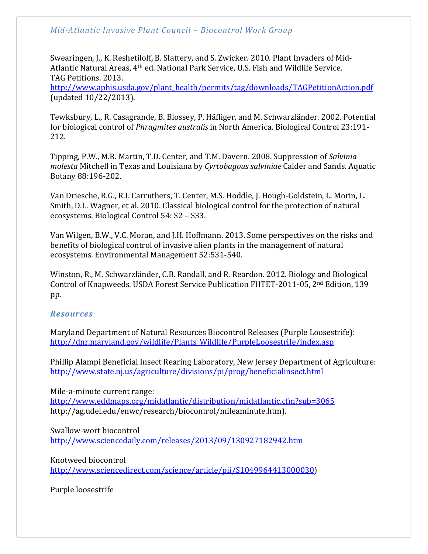Swearingen, J., K. Reshetiloff, B. Slattery, and S. Zwicker. 2010. Plant Invaders of Mid-Atlantic Natural Areas, 4th ed. National Park Service, U.S. Fish and Wildlife Service. TAG Petitions. 2013.

[http://www.aphis.usda.gov/plant\\_health/permits/tag/downloads/TAGPetitionAction.pdf](http://www.aphis.usda.gov/plant_health/permits/tag/downloads/TAGPetitionAction.pdf) (updated 10/22/2013).

Tewksbury, L., R. Casagrande, B. Blossey, P. Häfliger, and M. Schwarzländer. 2002. Potential for biological control of *Phragmites australis* in North America. Biological Control 23:191- 212.

Tipping, P.W., M.R. Martin, T.D. Center, and T.M. Davern. 2008. Suppression of *Salvinia molesta* Mitchell in Texas and Louisiana by *Cyrtobagous salviniae* Calder and Sands. Aquatic Botany 88:196-202.

Van Driesche, R.G., R.I. Carruthers, T. Center, M.S. Hoddle, J. Hough-Goldstein, L. Morin, L. Smith, D.L. Wagner, et al. 2010. Classical biological control for the protection of natural ecosystems. Biological Control 54: S2 – S33.

Van Wilgen, B.W., V.C. Moran, and J.H. Hoffmann. 2013. Some perspectives on the risks and benefits of biological control of invasive alien plants in the management of natural ecosystems. Environmental Management 52:531-540.

Winston, R., M. Schwarzländer, C.B. Randall, and R. Reardon. 2012. Biology and Biological Control of Knapweeds. USDA Forest Service Publication FHTET-2011-05, 2nd Edition, 139 pp.

#### *Resources*

Maryland Department of Natural Resources Biocontrol Releases (Purple Loosestrife): [http://dnr.maryland.gov/wildlife/Plants\\_Wildlife/PurpleLoosestrife/index.asp](http://dnr.maryland.gov/wildlife/Plants_Wildlife/PurpleLoosestrife/index.asp)

Phillip Alampi Beneficial Insect Rearing Laboratory, New Jersey Department of Agriculture: <http://www.state.nj.us/agriculture/divisions/pi/prog/beneficialinsect.html>

Mile-a-minute current range: <http://www.eddmaps.org/midatlantic/distribution/midatlantic.cfm?sub=3065> http://ag.udel.edu/enwc/research/biocontrol/mileaminute.htm).

Swallow-wort biocontrol <http://www.sciencedaily.com/releases/2013/09/130927182942.htm>

Knotweed biocontrol [http://www.sciencedirect.com/science/article/pii/S1049964413000030\)](http://www.sciencedirect.com/science/article/pii/S1049964413000030)

Purple loosestrife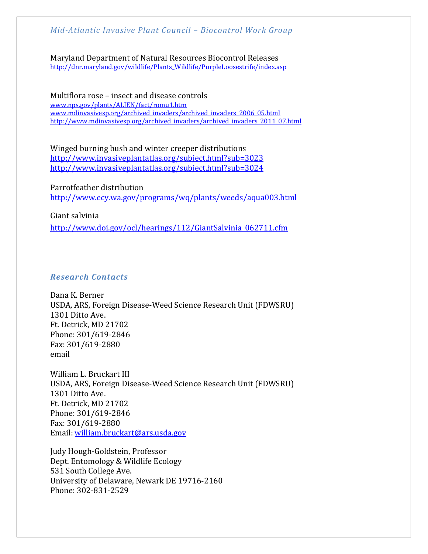Maryland Department of Natural Resources Biocontrol Releases [http://dnr.maryland.gov/wildlife/Plants\\_Wildlife/PurpleLoosestrife/index.asp](http://dnr.maryland.gov/wildlife/Plants_Wildlife/PurpleLoosestrife/index.asp)

Multiflora rose – insect and disease controls [www.nps.gov/plants/ALIEN/fact/romu1.htm](http://www.nps.gov/plants/ALIEN/fact/romu1.htm) [www.mdinvasivesp.org/archived\\_invaders/archived\\_invaders\\_2006\\_05.html](http://www.mdinvasivesp.org/archived_invaders/archived_invaders_2006_05.html) [http://www.mdinvasivesp.org/archived\\_invaders/archived\\_invaders\\_2011\\_07.html](http://www.mdinvasivesp.org/archived_invaders/archived_invaders_2011_07.html)

Winged burning bush and winter creeper distributions <http://www.invasiveplantatlas.org/subject.html?sub=3023> <http://www.invasiveplantatlas.org/subject.html?sub=3024>

Parrotfeather distribution <http://www.ecy.wa.gov/programs/wq/plants/weeds/aqua003.html>

Giant salvinia [http://www.doi.gov/ocl/hearings/112/GiantSalvinia\\_062711.cfm](http://www.doi.gov/ocl/hearings/112/GiantSalvinia_062711.cfm)

#### *Research Contacts*

Dana K. Berner USDA, ARS, Foreign Disease-Weed Science Research Unit (FDWSRU) 1301 Ditto Ave. Ft. Detrick, MD 21702 Phone: 301/619-2846 Fax: 301/619-2880 email

William L. Bruckart III USDA, ARS, Foreign Disease-Weed Science Research Unit (FDWSRU) 1301 Ditto Ave. Ft. Detrick, MD 21702 Phone: 301/619-2846 Fax: 301/619-2880 Email: [william.bruckart@ars.usda.gov](mailto:william.bruckart@ars.usda.gov)

Judy Hough-Goldstein, Professor Dept. Entomology & Wildlife Ecology 531 South College Ave. University of Delaware, Newark DE 19716-2160 Phone: 302-831-2529